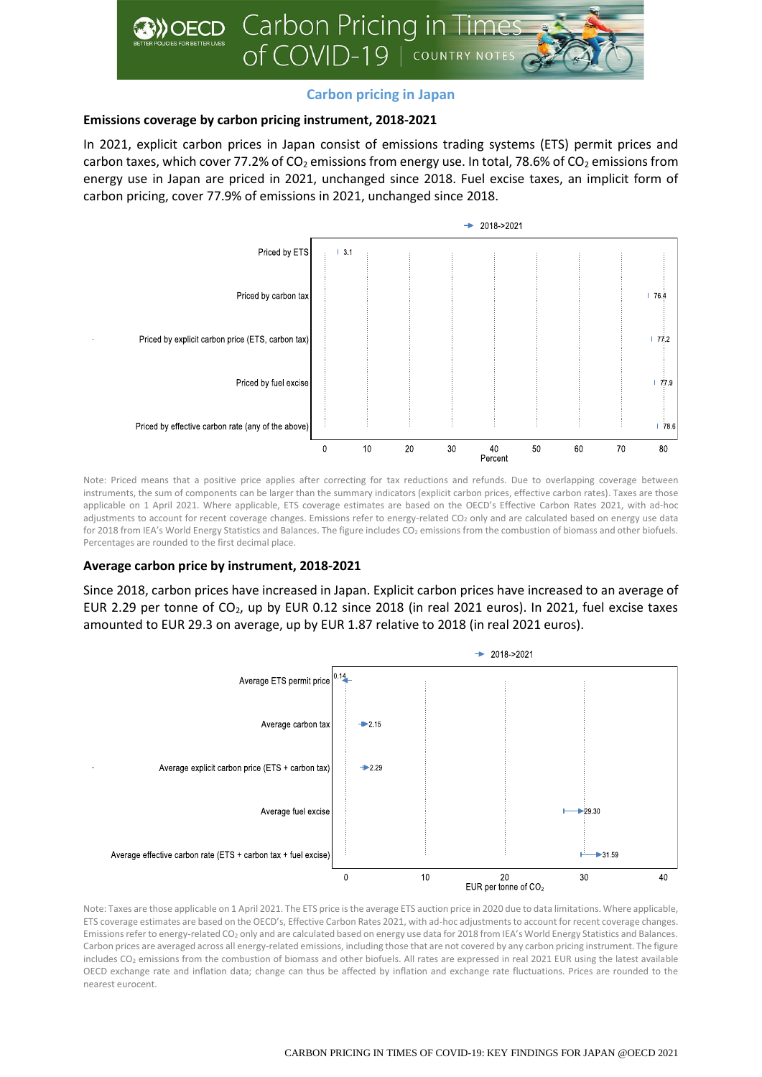

# **Carbon pricing in Japan**

## **Emissions coverage by carbon pricing instrument, 2018-2021**

In 2021, explicit carbon prices in Japan consist of emissions trading systems (ETS) permit prices and carbon taxes, which cover 77.2% of  $CO<sub>2</sub>$  emissions from energy use. In total, 78.6% of  $CO<sub>2</sub>$  emissions from energy use in Japan are priced in 2021, unchanged since 2018. Fuel excise taxes, an implicit form of carbon pricing, cover 77.9% of emissions in 2021, unchanged since 2018.



Note: Priced means that a positive price applies after correcting for tax reductions and refunds. Due to overlapping coverage between instruments, the sum of components can be larger than the summary indicators (explicit carbon prices, effective carbon rates). Taxes are those applicable on 1 April 2021. Where applicable, ETS coverage estimates are based on the OECD's Effective Carbon Rates 2021, with ad-hoc adjustments to account for recent coverage changes. Emissions refer to energy-related CO<sub>2</sub> only and are calculated based on energy use data for 2018 from IEA's World Energy Statistics and Balances. The figure includes CO<sub>2</sub> emissions from the combustion of biomass and other biofuels. Percentages are rounded to the first decimal place.

## **Average carbon price by instrument, 2018-2021**

Since 2018, carbon prices have increased in Japan. Explicit carbon prices have increased to an average of EUR 2.29 per tonne of CO<sub>2</sub>, up by EUR 0.12 since 2018 (in real 2021 euros). In 2021, fuel excise taxes amounted to EUR 29.3 on average, up by EUR 1.87 relative to 2018 (in real 2021 euros).



Note: Taxes are those applicable on 1 April 2021. The ETS price is the average ETS auction price in 2020 due to data limitations. Where applicable, ETS coverage estimates are based on the OECD's, Effective Carbon Rates 2021, with ad-hoc adjustments to account for recent coverage changes. Emissions refer to energy-related CO<sup>2</sup> only and are calculated based on energy use data for 2018 from IEA's World Energy Statistics and Balances. Carbon prices are averaged across all energy-related emissions, including those that are not covered by any carbon pricing instrument. The figure includes CO<sub>2</sub> emissions from the combustion of biomass and other biofuels. All rates are expressed in real 2021 EUR using the latest available OECD exchange rate and inflation data; change can thus be affected by inflation and exchange rate fluctuations. Prices are rounded to the nearest eurocent.